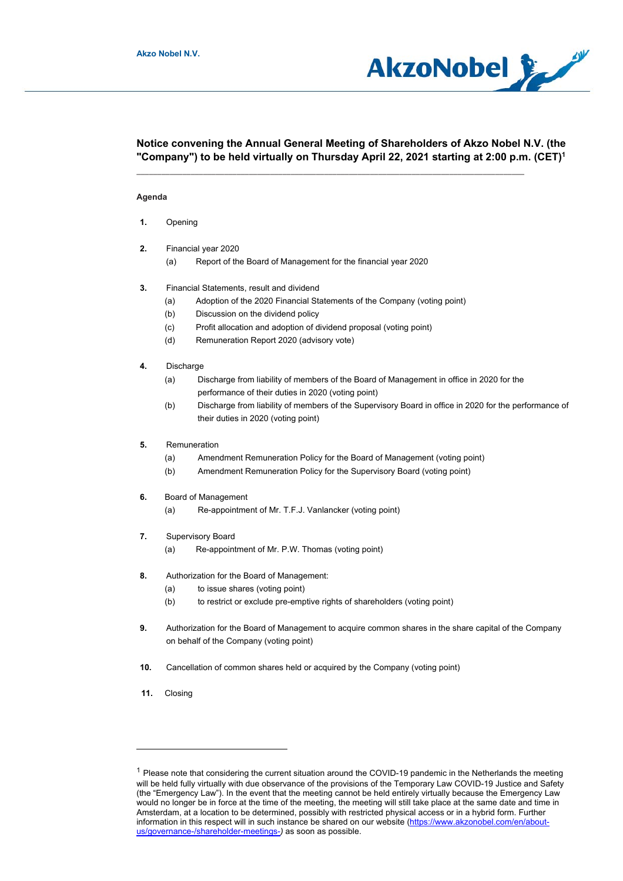

# **Notice convening the Annual General Meeting of Shareholders of Akzo Nobel N.V. (the "Company") to be held virtually on Thursday April 22, 2021 starting at 2:00 p.m. (CET)1**

\_\_\_\_\_\_\_\_\_\_\_\_\_\_\_\_\_\_\_\_\_\_\_\_\_\_\_\_\_\_\_\_\_\_\_\_\_\_\_\_\_\_\_\_\_\_\_\_\_\_\_\_\_\_\_\_\_\_\_\_\_\_\_\_\_\_\_\_\_\_\_\_\_\_\_\_\_\_\_\_\_\_\_\_\_\_\_\_\_\_\_\_\_

## **Agenda**

- **1.** Opening
- **2.** Financial year 2020
	- (a) Report of the Board of Management for the financial year 2020
- **3.** Financial Statements, result and dividend
	- (a) Adoption of the 2020 Financial Statements of the Company (voting point)
	- (b) Discussion on the dividend policy
	- (c) Profit allocation and adoption of dividend proposal (voting point)
	- (d) Remuneration Report 2020 (advisory vote)
- **4.** Discharge
	- (a) Discharge from liability of members of the Board of Management in office in 2020 for the performance of their duties in 2020 (voting point)
	- (b) Discharge from liability of members of the Supervisory Board in office in 2020 for the performance of their duties in 2020 (voting point)
- **5.** Remuneration
	- (a) Amendment Remuneration Policy for the Board of Management (voting point)
	- (b) Amendment Remuneration Policy for the Supervisory Board (voting point)
- **6.** Board of Management
	- (a) Re-appointment of Mr. T.F.J. Vanlancker (voting point)
- **7.** Supervisory Board
	- (a) Re-appointment of Mr. P.W. Thomas (voting point)
- **8.** Authorization for the Board of Management:
	- (a) to issue shares (voting point)
	- (b) to restrict or exclude pre-emptive rights of shareholders (voting point)
- **9.** Authorization for the Board of Management to acquire common shares in the share capital of the Company on behalf of the Company (voting point)
- **10.** Cancellation of common shares held or acquired by the Company (voting point)
- **11.** Closing

 $1$  Please note that considering the current situation around the COVID-19 pandemic in the Netherlands the meeting will be held fully virtually with due observance of the provisions of the Temporary Law COVID-19 Justice and Safety (the "Emergency Law"). In the event that the meeting cannot be held entirely virtually because the Emergency Law would no longer be in force at the time of the meeting, the meeting will still take place at the same date and time in Amsterdam, at a location to be determined, possibly with restricted physical access or in a hybrid form. Further information in this respect will in such instance be shared on our website (https://www.akzonobel.com/en/aboutus/governance-/shareholder-meetings-*)* as soon as possible.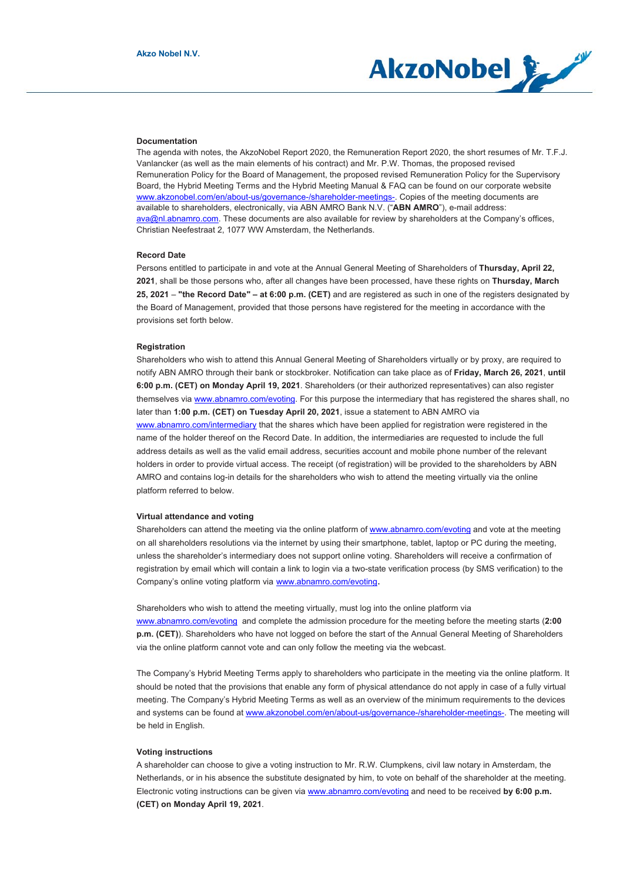

#### **Documentation**

The agenda with notes, the AkzoNobel Report 2020, the Remuneration Report 2020, the short resumes of Mr. T.F.J. Vanlancker (as well as the main elements of his contract) and Mr. P.W. Thomas, the proposed revised Remuneration Policy for the Board of Management, the proposed revised Remuneration Policy for the Supervisory Board, the Hybrid Meeting Terms and the Hybrid Meeting Manual & FAQ can be found on our corporate website www.akzonobel.com/en/about-us/governance-/shareholder-meetings-. Copies of the meeting documents are available to shareholders, electronically, via ABN AMRO Bank N.V. ("**ABN AMRO**"), e-mail address: ava@nl.abnamro.com. These documents are also available for review by shareholders at the Company's offices, Christian Neefestraat 2, 1077 WW Amsterdam, the Netherlands.

#### **Record Date**

Persons entitled to participate in and vote at the Annual General Meeting of Shareholders of **Thursday, April 22, 2021**, shall be those persons who, after all changes have been processed, have these rights on **Thursday, March 25, 2021** – **"the Record Date" – at 6:00 p.m. (CET)** and are registered as such in one of the registers designated by the Board of Management, provided that those persons have registered for the meeting in accordance with the provisions set forth below.

#### **Registration**

Shareholders who wish to attend this Annual General Meeting of Shareholders virtually or by proxy, are required to notify ABN AMRO through their bank or stockbroker. Notification can take place as of **Friday, March 26, 2021**, **until 6:00 p.m. (CET) on Monday April 19, 2021**. Shareholders (or their authorized representatives) can also register themselves via www.abnamro.com/evoting. For this purpose the intermediary that has registered the shares shall, no later than **1:00 p.m. (CET) on Tuesday April 20, 2021**, issue a statement to ABN AMRO via www.abnamro.com/intermediary that the shares which have been applied for registration were registered in the name of the holder thereof on the Record Date. In addition, the intermediaries are requested to include the full address details as well as the valid email address, securities account and mobile phone number of the relevant holders in order to provide virtual access. The receipt (of registration) will be provided to the shareholders by ABN AMRO and contains log-in details for the shareholders who wish to attend the meeting virtually via the online platform referred to below.

#### **Virtual attendance and voting**

Shareholders can attend the meeting via the online platform of www.abnamro.com/evoting and vote at the meeting on all shareholders resolutions via the internet by using their smartphone, tablet, laptop or PC during the meeting, unless the shareholder's intermediary does not support online voting. Shareholders will receive a confirmation of registration by email which will contain a link to login via a two-state verification process (by SMS verification) to the Company's online voting platform via www.abnamro.com/evoting.

Shareholders who wish to attend the meeting virtually, must log into the online platform via www.abnamro.com/evoting and complete the admission procedure for the meeting before the meeting starts (**2:00 p.m. (CET)**). Shareholders who have not logged on before the start of the Annual General Meeting of Shareholders via the online platform cannot vote and can only follow the meeting via the webcast.

The Company's Hybrid Meeting Terms apply to shareholders who participate in the meeting via the online platform. It should be noted that the provisions that enable any form of physical attendance do not apply in case of a fully virtual meeting. The Company's Hybrid Meeting Terms as well as an overview of the minimum requirements to the devices and systems can be found at www.akzonobel.com/en/about-us/governance-/shareholder-meetings-. The meeting will be held in English.

## **Voting instructions**

A shareholder can choose to give a voting instruction to Mr. R.W. Clumpkens, civil law notary in Amsterdam, the Netherlands, or in his absence the substitute designated by him, to vote on behalf of the shareholder at the meeting. Electronic voting instructions can be given via www.abnamro.com/evoting and need to be received **by 6:00 p.m. (CET) on Monday April 19, 2021**.